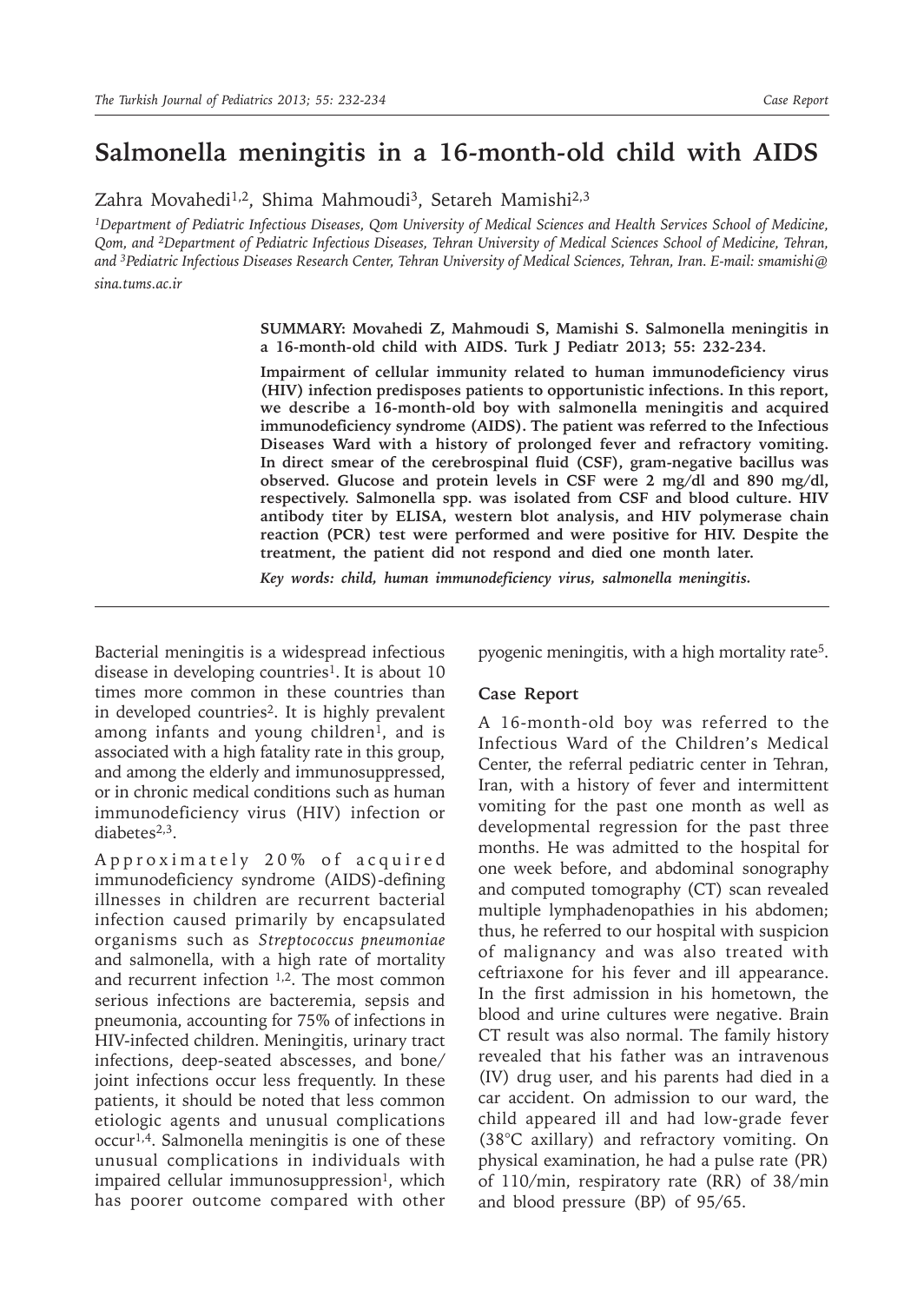## **Salmonella meningitis in a 16-month-old child with AIDS**

Zahra Movahedi<sup>1,2</sup>, Shima Mahmoudi<sup>3</sup>, Setareh Mamishi<sup>2,3</sup>

*1Department of Pediatric Infectious Diseases, Qom University of Medical Sciences and Health Services School of Medicine, Qom, and 2Department of Pediatric Infectious Diseases, Tehran University of Medical Sciences School of Medicine, Tehran, and 3Pediatric Infectious Diseases Research Center, Tehran University of Medical Sciences, Tehran, Iran. E-mail: smamishi@*

*sina.tums.ac.ir*

**SUMMARY: Movahedi Z, Mahmoudi S, Mamishi S. Salmonella meningitis in a 16-month-old child with AIDS. Turk J Pediatr 2013; 55: 232-234.**

**Impairment of cellular immunity related to human immunodeficiency virus (HIV) infection predisposes patients to opportunistic infections. In this report, we describe a 16-month-old boy with salmonella meningitis and acquired immunodeficiency syndrome (AIDS). The patient was referred to the Infectious Diseases Ward with a history of prolonged fever and refractory vomiting. In direct smear of the cerebrospinal fluid (CSF), gram-negative bacillus was observed. Glucose and protein levels in CSF were 2 mg/dl and 890 mg/dl, respectively. Salmonella spp. was isolated from CSF and blood culture. HIV antibody titer by ELISA, western blot analysis, and HIV polymerase chain reaction (PCR) test were performed and were positive for HIV. Despite the treatment, the patient did not respond and died one month later.**

*Key words: child, human immunodeficiency virus, salmonella meningitis.*

Bacterial meningitis is a widespread infectious disease in developing countries<sup>1</sup>. It is about 10 times more common in these countries than in developed countries<sup>2</sup>. It is highly prevalent among infants and young children<sup>1</sup>, and is associated with a high fatality rate in this group, and among the elderly and immunosuppressed, or in chronic medical conditions such as human immunodeficiency virus (HIV) infection or diabetes $2,3$ .

Approximately 20% of acquired immunodeficiency syndrome (AIDS)-defining illnesses in children are recurrent bacterial infection caused primarily by encapsulated organisms such as *Streptococcus pneumoniae*  and salmonella, with a high rate of mortality and recurrent infection 1,2. The most common serious infections are bacteremia, sepsis and pneumonia, accounting for 75% of infections in HIV-infected children. Meningitis, urinary tract infections, deep-seated abscesses, and bone/ joint infections occur less frequently. In these patients, it should be noted that less common etiologic agents and unusual complications occur1,4. Salmonella meningitis is one of these unusual complications in individuals with impaired cellular immunosuppression<sup>1</sup>, which has poorer outcome compared with other

pyogenic meningitis, with a high mortality rate<sup>5</sup>.

## **Case Report**

A 16-month-old boy was referred to the Infectious Ward of the Children's Medical Center, the referral pediatric center in Tehran, Iran, with a history of fever and intermittent vomiting for the past one month as well as developmental regression for the past three months. He was admitted to the hospital for one week before, and abdominal sonography and computed tomography (CT) scan revealed multiple lymphadenopathies in his abdomen; thus, he referred to our hospital with suspicion of malignancy and was also treated with ceftriaxone for his fever and ill appearance. In the first admission in his hometown, the blood and urine cultures were negative. Brain CT result was also normal. The family history revealed that his father was an intravenous (IV) drug user, and his parents had died in a car accident. On admission to our ward, the child appeared ill and had low-grade fever (38°C axillary) and refractory vomiting. On physical examination, he had a pulse rate (PR) of 110/min, respiratory rate (RR) of 38/min and blood pressure (BP) of 95/65.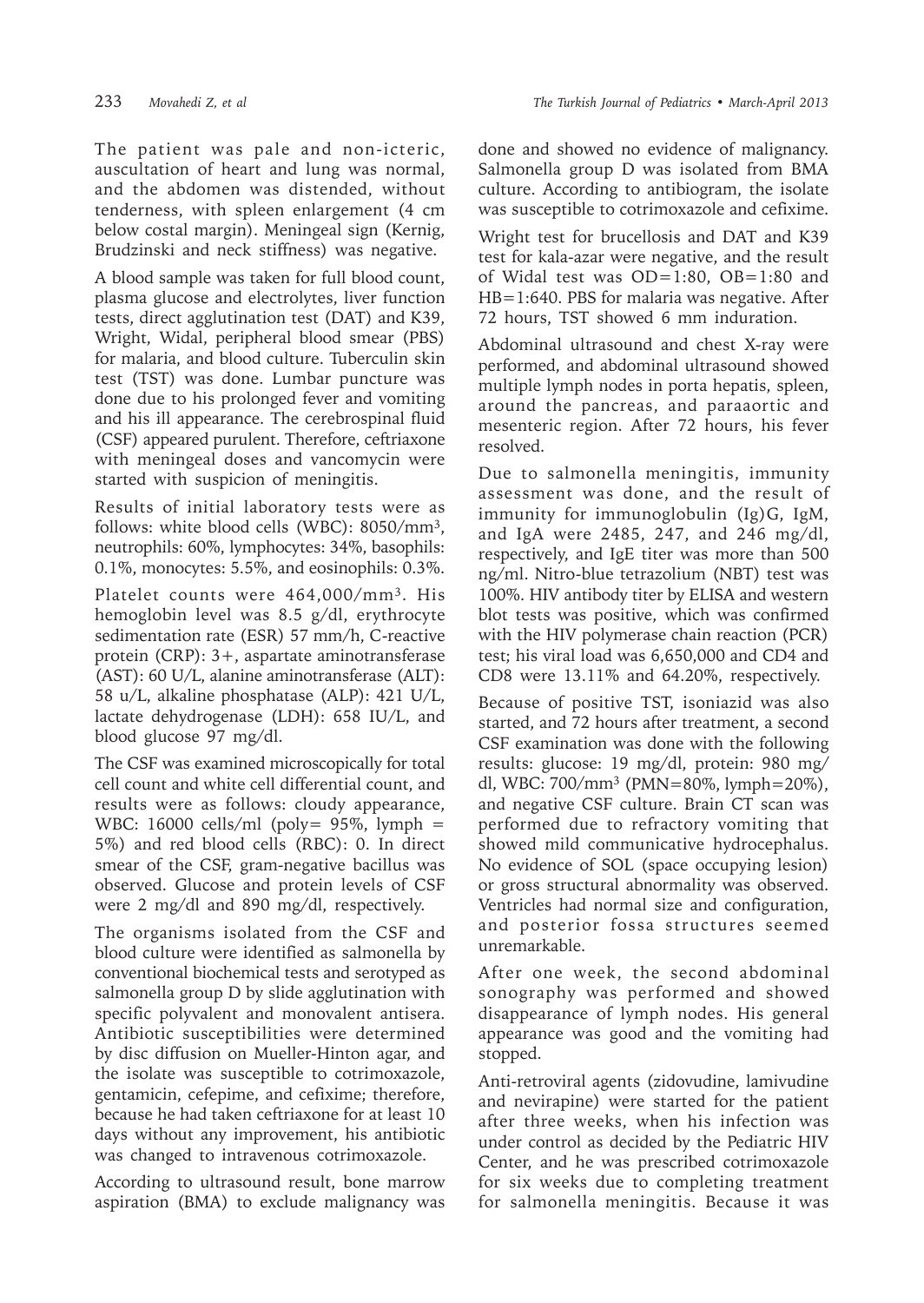The patient was pale and non-icteric, auscultation of heart and lung was normal, and the abdomen was distended, without tenderness, with spleen enlargement (4 cm below costal margin). Meningeal sign (Kernig, Brudzinski and neck stiffness) was negative.

A blood sample was taken for full blood count, plasma glucose and electrolytes, liver function tests, direct agglutination test (DAT) and K39, Wright, Widal, peripheral blood smear (PBS) for malaria, and blood culture. Tuberculin skin test (TST) was done. Lumbar puncture was done due to his prolonged fever and vomiting and his ill appearance. The cerebrospinal fluid (CSF) appeared purulent. Therefore, ceftriaxone with meningeal doses and vancomycin were started with suspicion of meningitis.

Results of initial laboratory tests were as follows: white blood cells (WBC): 8050/mm3, neutrophils: 60%, lymphocytes: 34%, basophils: 0.1%, monocytes: 5.5%, and eosinophils: 0.3%.

Platelet counts were 464,000/mm<sup>3</sup>. His hemoglobin level was 8.5 g/dl, erythrocyte sedimentation rate (ESR) 57 mm/h, C-reactive protein (CRP): 3+, aspartate aminotransferase (AST): 60 U/L, alanine aminotransferase (ALT): 58 u/L, alkaline phosphatase (ALP): 421 U/L, lactate dehydrogenase (LDH): 658 IU/L, and blood glucose 97 mg/dl.

The CSF was examined microscopically for total cell count and white cell differential count, and results were as follows: cloudy appearance, WBC: 16000 cells/ml (poly=  $95\%$ , lymph = 5%) and red blood cells (RBC): 0. In direct smear of the CSF, gram-negative bacillus was observed. Glucose and protein levels of CSF were 2 mg/dl and 890 mg/dl, respectively.

The organisms isolated from the CSF and blood culture were identified as salmonella by conventional biochemical tests and serotyped as salmonella group D by slide agglutination with specific polyvalent and monovalent antisera. Antibiotic susceptibilities were determined by disc diffusion on Mueller-Hinton agar, and the isolate was susceptible to cotrimoxazole, gentamicin, cefepime, and cefixime; therefore, because he had taken ceftriaxone for at least 10 days without any improvement, his antibiotic was changed to intravenous cotrimoxazole.

According to ultrasound result, bone marrow aspiration (BMA) to exclude malignancy was

done and showed no evidence of malignancy. Salmonella group D was isolated from BMA culture. According to antibiogram, the isolate was susceptible to cotrimoxazole and cefixime.

Wright test for brucellosis and DAT and K39 test for kala-azar were negative, and the result of Widal test was OD=1:80, OB=1:80 and HB=1:640. PBS for malaria was negative. After 72 hours, TST showed 6 mm induration.

Abdominal ultrasound and chest X-ray were performed, and abdominal ultrasound showed multiple lymph nodes in porta hepatis, spleen, around the pancreas, and paraaortic and mesenteric region. After 72 hours, his fever resolved.

Due to salmonella meningitis, immunity assessment was done, and the result of immunity for immunoglobulin (Ig)G, IgM, and IgA were 2485, 247, and 246 mg/dl, respectively, and IgE titer was more than 500 ng/ml. Nitro-blue tetrazolium (NBT) test was 100%. HIV antibody titer by ELISA and western blot tests was positive, which was confirmed with the HIV polymerase chain reaction (PCR) test; his viral load was 6,650,000 and CD4 and CD8 were 13.11% and 64.20%, respectively.

Because of positive TST, isoniazid was also started, and 72 hours after treatment, a second CSF examination was done with the following results: glucose: 19 mg/dl, protein: 980 mg/ dl, WBC: 700/mm3 (PMN=80%, lymph=20%), and negative CSF culture. Brain CT scan was performed due to refractory vomiting that showed mild communicative hydrocephalus. No evidence of SOL (space occupying lesion) or gross structural abnormality was observed. Ventricles had normal size and configuration, and posterior fossa structures seemed unremarkable.

After one week, the second abdominal sonography was performed and showed disappearance of lymph nodes. His general appearance was good and the vomiting had stopped.

Anti-retroviral agents (zidovudine, lamivudine and nevirapine) were started for the patient after three weeks, when his infection was under control as decided by the Pediatric HIV Center, and he was prescribed cotrimoxazole for six weeks due to completing treatment for salmonella meningitis. Because it was